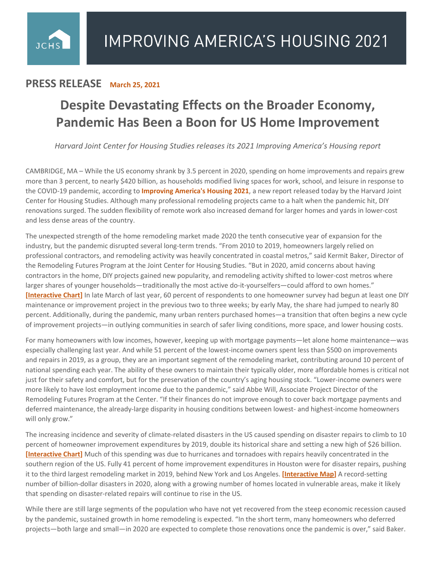## **PRESS RELEASE March 25, 2021**

 $JCHS$ 

## **Despite Devastating Effects on the Broader Economy, Pandemic Has Been a Boon for US Home Improvement**

*Harvard Joint Center for Housing Studies releases its 2021 Improving America's Housing report*

CAMBRIDGE, MA – While the US economy shrank by 3.5 percent in 2020, spending on home improvements and repairs grew more than 3 percent, to nearly \$420 billion, as households modified living spaces for work, school, and leisure in response to the COVID-19 pandemic, according to **[Improving America's Housing 2021](http://www.jchs.harvard.edu/improving-americas-housing-2021)**, a new report released today by the Harvard Joint Center for Housing Studies. Although many professional remodeling projects came to a halt when the pandemic hit, DIY renovations surged. The sudden flexibility of remote work also increased demand for larger homes and yards in lower-cost and less dense areas of the country.

The unexpected strength of the home remodeling market made 2020 the tenth consecutive year of expansion for the industry, but the pandemic disrupted several long-term trends. "From 2010 to 2019, homeowners largely relied on professional contractors, and remodeling activity was heavily concentrated in coastal metros," said Kermit Baker, Director of the Remodeling Futures Program at the Joint Center for Housing Studies. "But in 2020, amid concerns about having contractors in the home, DIY projects gained new popularity, and remodeling activity shifted to lower-cost metros where larger shares of younger households—traditionally the most active do-it-yourselfers—could afford to own homes." **[\[Interactive Chart\]](https://www.jchs.harvard.edu/iah-2021-remodeling-grew-metros-younger-owners)** In late March of last year, 60 percent of respondents to one homeowner survey had begun at least one DIY maintenance or improvement project in the previous two to three weeks; by early May, the share had jumped to nearly 80 percent. Additionally, during the pandemic, many urban renters purchased homes—a transition that often begins a new cycle of improvement projects—in outlying communities in search of safer living conditions, more space, and lower housing costs.

For many homeowners with low incomes, however, keeping up with mortgage payments—let alone home maintenance—was especially challenging last year. And while 51 percent of the lowest-income owners spent less than \$500 on improvements and repairs in 2019, as a group, they are an important segment of the remodeling market, contributing around 10 percent of national spending each year. The ability of these owners to maintain their typically older, more affordable homes is critical not just for their safety and comfort, but for the preservation of the country's aging housing stock. "Lower-income owners were more likely to have lost employment income due to the pandemic," said Abbe Will, Associate Project Director of the Remodeling Futures Program at the Center. "If their finances do not improve enough to cover back mortgage payments and deferred maintenance, the already-large disparity in housing conditions between lowest- and highest-income homeowners will only grow."

The increasing incidence and severity of climate-related disasters in the US caused spending on disaster repairs to climb to 10 percent of homeowner improvement expenditures by 2019, double its historical share and setting a new high of \$26 billion. **[\[Interactive Chart\]](https://www.jchs.harvard.edu/iah-2021-expenditures-project-type)** Much of this spending was due to hurricanes and tornadoes with repairs heavily concentrated in the southern region of the US. Fully 41 percent of home improvement expenditures in Houston were for disaster repairs, pushing it to the third largest remodeling market in 2019, behind New York and Los Angeles. **[\[Interactive Map\]](https://www.jchs.harvard.edu/iah-2021-metro-spending)** A record-setting number of billion-dollar disasters in 2020, along with a growing number of homes located in vulnerable areas, make it likely that spending on disaster-related repairs will continue to rise in the US.

While there are still large segments of the population who have not yet recovered from the steep economic recession caused by the pandemic, sustained growth in home remodeling is expected. "In the short term, many homeowners who deferred projects—both large and small—in 2020 are expected to complete those renovations once the pandemic is over," said Baker.